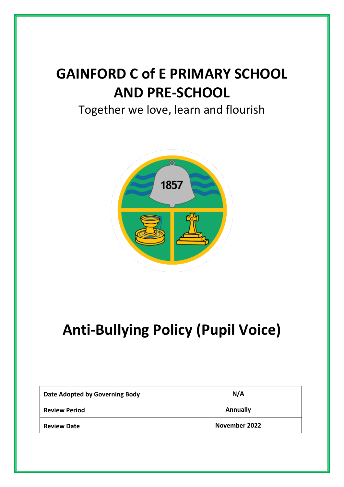# **GAINFORD C of E PRIMARY SCHOOL AND PRE-SCHOOL**

## Together we love, learn and flourish



# **Anti-Bullying Policy (Pupil Voice)**

| Date Adopted by Governing Body | N/A             |
|--------------------------------|-----------------|
| <b>Review Period</b>           | <b>Annually</b> |
| <b>Review Date</b>             | November 2022   |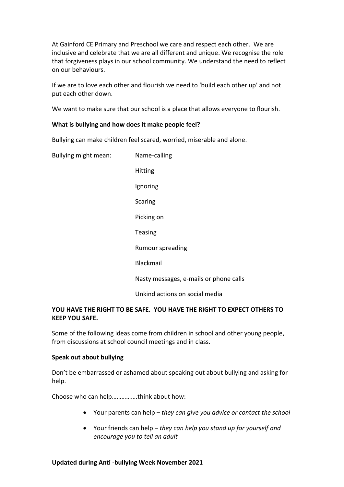At Gainford CE Primary and Preschool we care and respect each other. We are inclusive and celebrate that we are all different and unique. We recognise the role that forgiveness plays in our school community. We understand the need to reflect on our behaviours.

If we are to love each other and flourish we need to 'build each other up' and not put each other down.

We want to make sure that our school is a place that allows everyone to flourish.

#### **What is bullying and how does it make people feel?**

Bullying can make children feel scared, worried, miserable and alone.

Bullying might mean: Name-calling Hitting Ignoring **Scaring** Picking on Teasing Rumour spreading Blackmail Nasty messages, e-mails or phone calls Unkind actions on social media

#### **YOU HAVE THE RIGHT TO BE SAFE. YOU HAVE THE RIGHT TO EXPECT OTHERS TO KEEP YOU SAFE.**

Some of the following ideas come from children in school and other young people, from discussions at school council meetings and in class.

#### **Speak out about bullying**

Don't be embarrassed or ashamed about speaking out about bullying and asking for help.

Choose who can help…………….think about how:

- Your parents can help *they can give you advice or contact the school*
- Your friends can help *they can help you stand up for yourself and encourage you to tell an adult*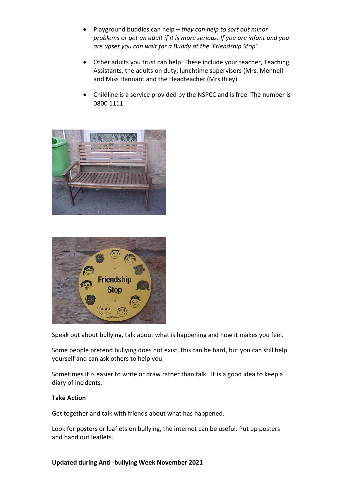- Playground buddies can help *they can help to sort out minor problems or get an adult if it is more serious. If you are infant and you are upset you can wait for a Buddy at the 'Friendship Stop'*
- Other adults you trust can help. These include your teacher, Teaching Assistants, the adults on duty; lunchtime supervisors (Mrs. Mennell and Miss Hannant and the Headteacher (Mrs Riley).
- Childline is a service provided by the NSPCC and is free. The number is 0800 1111





Speak out about bullying, talk about what is happening and how it makes you feel.

Some people pretend bullying does not exist, this can be hard, but you can still help yourself and can ask others to help you.

Sometimes it is easier to write or draw rather than talk. It is a good idea to keep a diary of incidents.

### **Take Action**

Get together and talk with friends about what has happened.

Look for posters or leaflets on bullying, the internet can be useful. Put up posters and hand out leaflets.

#### **Updated during Anti -bullying Week November 2021**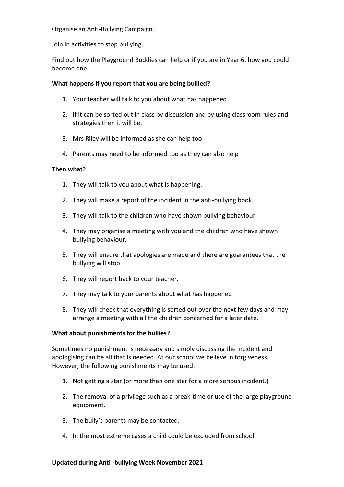Organise an Anti-Bullying Campaign.

Join in activities to stop bullying.

Find out how the Playground Buddies can help or if you are in Year 6, how you could become one.

### **What happens if you report that you are being bullied?**

- 1. Your teacher will talk to you about what has happened
- 2. If it can be sorted out in class by discussion and by using classroom rules and strategies then it will be.
- 3. Mrs Riley will be informed as she can help too
- 4. Parents may need to be informed too as they can also help

#### **Then what?**

- 1. They will talk to you about what is happening.
- 2. They will make a report of the incident in the anti-bullying book.
- 3. They will talk to the children who have shown bullying behaviour
- 4. They may organise a meeting with you and the children who have shown bullying behaviour.
- 5. They will ensure that apologies are made and there are guarantees that the bullying will stop.
- 6. They will report back to your teacher.
- 7. They may talk to your parents about what has happened
- 8. They will check that everything is sorted out over the next few days and may arrange a meeting with all the children concerned for a later date.

#### **What about punishments for the bullies?**

Sometimes no punishment is necessary and simply discussing the incident and apologising can be all that is needed. At our school we believe in forgiveness. However, the following punishments may be used:

- 1. Not getting a star (or more than one star for a more serious incident.)
- 2. The removal of a privilege such as a break-time or use of the large playground equipment.
- 3. The bully's parents may be contacted.
- 4. In the most extreme cases a child could be excluded from school.

#### **Updated during Anti -bullying Week November 2021**